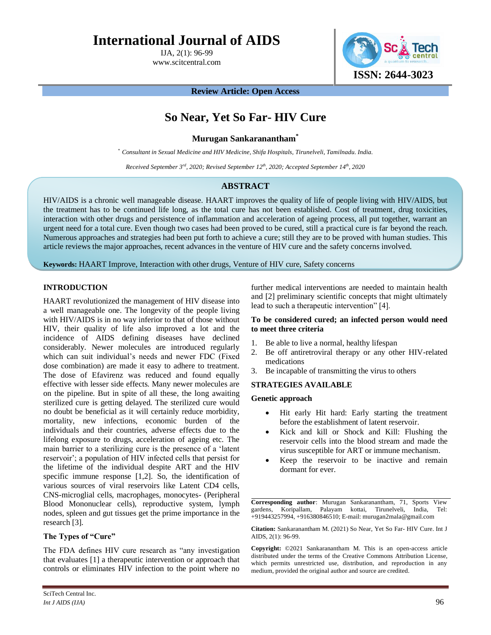# **International Journal of AIDS**

IJA, 2(1): 96-99 www.scitcentral.com **ISSN: 2644-3023**

**Review Article: Open Access**

# **So Near, Yet So Far- HIV Cure**

**Murugan Sankaranantham\***

*\* Consultant in Sexual Medicine and HIV Medicine, Shifa Hospitals, Tirunelveli, Tamilnadu. India.*

*Received September 3rd, 2020; Revised September 12 th, 2020; Accepted September 14th, 2020*

# **ABSTRACT**

HIV/AIDS is a chronic well manageable disease. HAART improves the quality of life of people living with HIV/AIDS, but the treatment has to be continued life long, as the total cure has not been established. Cost of treatment, drug toxicities, interaction with other drugs and persistence of inflammation and acceleration of ageing process, all put together, warrant an urgent need for a total cure. Even though two cases had been proved to be cured, still a practical cure is far beyond the reach. Numerous approaches and strategies had been put forth to achieve a cure; still they are to be proved with human studies. This article reviews the major approaches, recent advances in the venture of HIV cure and the safety concerns involved.

**Keywords:** HAART Improve, Interaction with other drugs, Venture of HIV cure, Safety concerns

# **INTRODUCTION**

HAART revolutionized the management of HIV disease into a well manageable one. The longevity of the people living with HIV/AIDS is in no way inferior to that of those without HIV, their quality of life also improved a lot and the incidence of AIDS defining diseases have declined considerably. Newer molecules are introduced regularly which can suit individual's needs and newer FDC (Fixed dose combination) are made it easy to adhere to treatment. The dose of Efavirenz was reduced and found equally effective with lesser side effects. Many newer molecules are on the pipeline. But in spite of all these, the long awaiting sterilized cure is getting delayed. The sterilized cure would no doubt be beneficial as it will certainly reduce morbidity, mortality, new infections, economic burden of the individuals and their countries, adverse effects due to the lifelong exposure to drugs, acceleration of ageing etc. The main barrier to a sterilizing cure is the presence of a 'latent reservoir'; a population of HIV infected cells that persist for the lifetime of the individual despite ART and the HIV specific immune response [1,2]. So, the identification of various sources of viral reservoirs like Latent CD4 cells, CNS-microglial cells, macrophages, monocytes- (Peripheral Blood Mononuclear cells), reproductive system, lymph nodes, spleen and gut tissues get the prime importance in the research [3].

### **The Types of "Cure"**

The FDA defines HIV cure research as "any investigation that evaluates [1] a therapeutic intervention or approach that controls or eliminates HIV infection to the point where no further medical interventions are needed to maintain health and [2] preliminary scientific concepts that might ultimately lead to such a therapeutic intervention" [4].

### **To be considered cured; an infected person would need to meet three criteria**

- 1. Be able to live a normal, healthy lifespan
- 2. Be off antiretroviral therapy or any other HIV-related medications
- 3. Be incapable of transmitting the virus to others

### **STRATEGIES AVAILABLE**

#### **Genetic approach**

- Hit early Hit hard: Early starting the treatment before the establishment of latent reservoir.
- Kick and kill or Shock and Kill: Flushing the reservoir cells into the blood stream and made the virus susceptible for ART or immune mechanism.
- Keep the reservoir to be inactive and remain dormant for ever.

**Corresponding author**: Murugan Sankaranantham, 71, Sports View gardens, Koripallam, Palayam kottai, Tirunelveli, India, Tel: +919443257994, +916380846510; E-mail: murugan2mala@gmail.com

**Citation:** Sankaranantham M. (2021) So Near, Yet So Far- HIV Cure. Int J AIDS, 2(1): 96-99.

**Copyright:** ©2021 Sankaranantham M. This is an open-access article distributed under the terms of the Creative Commons Attribution License, which permits unrestricted use, distribution, and reproduction in any medium, provided the original author and source are credited.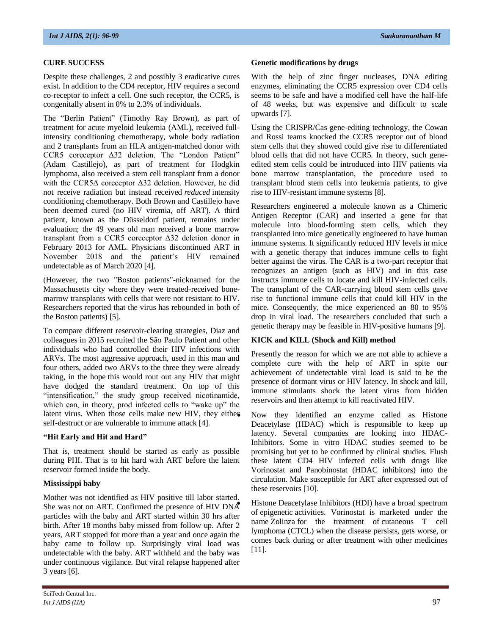## **CURE SUCCESS**

Despite these challenges, 2 and possibly 3 eradicative cures exist. In addition to the CD4 receptor, HIV requires a second co-receptor to infect a cell. One such receptor, the CCR5, is congenitally absent in 0% to 2.3% of individuals.

The "Berlin Patient" (Timothy Ray Brown), as part of treatment for acute myeloid leukemia (AML), received fullintensity conditioning chemotherapy, whole body radiation and 2 transplants from an HLA antigen-matched donor with CCR5 coreceptor Δ32 deletion. The "London Patient" (Adam Castillejo), as part of treatment for Hodgkin lymphoma, also received a stem cell transplant from a donor with the CCR5Δ coreceptor Δ32 deletion. However, he did not receive radiation but instead received *reduced* intensity conditioning chemotherapy. Both Brown and Castillejo have been deemed cured (no HIV viremia, off ART). A third patient, known as the Düsseldorf patient, remains under evaluation; the 49 years old man received a bone marrow transplant from a CCR5 coreceptor Δ32 deletion donor in February 2013 for AML. Physicians discontinued ART in November 2018 and the patient's HIV remained undetectable as of March 2020 [4].

(However, the two "Boston patients"-nicknamed for the Massachusetts city where they were treated-received bonemarrow transplants with cells that were not resistant to HIV. Researchers reported that the virus has rebounded in both of the Boston patients) [5].

To compare different reservoir-clearing strategies, Diaz and colleagues in 2015 recruited the São Paulo Patient and other individuals who had controlled their HIV infections with ARVs. The most aggressive approach, used in this man and four others, added two ARVs to the three they were already taking, in the hope this would rout out any HIV that might have dodged the standard treatment. On top of this "intensification," the study group received nicotinamide, which can, in theory, prod infected cells to "wake up" the latent virus. When those cells make new HIV, they either self-destruct or are vulnerable to immune attack [4].

### **"Hit Early and Hit and Hard"**

That is, treatment should be started as early as possible during PHI. That is to hit hard with ART before the latent reservoir formed inside the body.

### **Mississippi baby**

Mother was not identified as HIV positive till labor started. She was not on ART. Confirmed the presence of HIV DNA particles with the baby and ART started within 30 hrs after birth. After 18 months baby missed from follow up. After 2 years, ART stopped for more than a year and once again the baby came to follow up. Surprisingly viral load was undetectable with the baby. ART withheld and the baby was under continuous vigilance. But viral relapse happened after 3 years [6].

#### **Genetic modifications by drugs**

With the help of zinc finger nucleases, DNA editing enzymes, eliminating the CCR5 expression over CD4 cells seems to be safe and have a modified cell have the half-life of 48 weeks, but was expensive and difficult to scale upwards [7].

Using the CRISPR/Cas gene-editing technology, the Cowan and Rossi teams knocked the CCR5 receptor out of blood stem cells that they showed could give rise to differentiated blood cells that did not have CCR5. In theory, such geneedited stem cells could be introduced into HIV patients via bone marrow transplantation, the procedure used to transplant blood stem cells into leukemia patients, to give rise to HIV-resistant immune systems [8].

Researchers engineered a molecule known as a Chimeric Antigen Receptor (CAR) and inserted a gene for that molecule into blood-forming stem cells, which they transplanted into mice genetically engineered to have human immune systems. It significantly reduced HIV levels in mice with a genetic therapy that induces immune cells to fight better against the virus. The CAR is a two-part receptor that recognizes an antigen (such as HIV) and in this case instructs immune cells to locate and kill HIV-infected cells. The transplant of the CAR-carrying blood stem cells gave rise to functional immune cells that could kill HIV in the mice. Consequently, the mice experienced an 80 to 95% drop in viral load. The researchers concluded that such a genetic therapy may be feasible in HIV-positive humans [9].

### **KICK and KILL (Shock and Kill) method**

Presently the reason for which we are not able to achieve a complete cure with the help of ART in spite our achievement of undetectable viral load is said to be the presence of dormant virus or HIV latency. In shock and kill, immune stimulants shock the latent virus from hidden reservoirs and then attempt to kill reactivated HIV.

• Now they identified an enzyme called as Histone Deacetylase (HDAC) which is responsible to keep up latency. Several companies are looking into HDAC-Inhibitors. Some in vitro HDAC studies seemed to be promising but yet to be confirmed by clinical studies. Flush these latent CD4 HIV infected cells with drugs like Vorinostat and Panobinostat (HDAC inhibitors) into the circulation. Make susceptible for ART after expressed out of these reservoirs [10].

• Histone Deacetylase Inhibitors (HDI) have a broad spectrum of epigenetic activities. Vorinostat is marketed under the name Zolinza for the treatment of cutaneous T cell lymphoma (CTCL) when the disease persists, gets worse, or comes back during or after treatment with other medicines [11].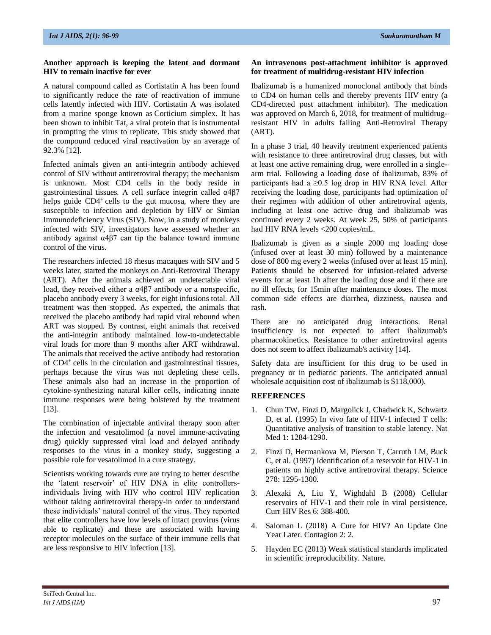#### **Another approach is keeping the latent and dormant HIV to remain inactive for ever**

A natural compound called as Cortistatin A has been found to significantly reduce the rate of reactivation of immune cells latently infected with HIV. Cortistatin A was isolated from a marine sponge known as Corticium simplex. It has been shown to inhibit Tat, a viral protein that is instrumental in prompting the virus to replicate. This study showed that the compound reduced viral reactivation by an average of 92.3% [12].

Infected animals given an anti-integrin antibody achieved control of SIV without antiretroviral therapy; the mechanism is unknown. Most CD4 cells in the body reside in gastrointestinal tissues. A cell surface integrin called α4β7 helps guide CD4<sup>+</sup> cells to the gut mucosa, where they are susceptible to infection and depletion by HIV or Simian Immunodeficiency Virus (SIV). Now, in a study of monkeys infected with SIV, investigators have assessed whether an antibody against  $\alpha$ 4 $\beta$ 7 can tip the balance toward immune control of the virus.

The researchers infected 18 rhesus macaques with SIV and 5 weeks later, started the monkeys on Anti-Retroviral Therapy (ART). After the animals achieved an undetectable viral load, they received either a α4β7 antibody or a nonspecific, placebo antibody every 3 weeks, for eight infusions total. All treatment was then stopped. As expected, the animals that received the placebo antibody had rapid viral rebound when ART was stopped. By contrast, eight animals that received the anti-integrin antibody maintained low-to-undetectable viral loads for more than 9 months after ART withdrawal. The animals that received the active antibody had restoration of CD4<sup>+</sup> cells in the circulation and gastrointestinal tissues, perhaps because the virus was not depleting these cells. These animals also had an increase in the proportion of cytokine-synthesizing natural killer cells, indicating innate immune responses were being bolstered by the treatment [13].

The combination of injectable antiviral therapy soon after the infection and vesatolimod (a novel immune-activating drug) quickly suppressed viral load and delayed antibody responses to the virus in a monkey study, suggesting a possible role for vesatolimod in a cure strategy.

Scientists working towards cure are trying to better describe the 'latent reservoir' of HIV DNA in elite controllersindividuals living with HIV who control HIV replication without taking antiretroviral therapy-in order to understand these individuals' natural control of the virus. They reported that elite controllers have low levels of intact provirus (virus able to replicate) and these are associated with having receptor molecules on the surface of their immune cells that are less responsive to HIV infection [13].

#### **An intravenous post-attachment inhibitor is approved for treatment of multidrug-resistant HIV infection**

Ibalizumab is a humanized monoclonal antibody that binds to CD4 on human cells and thereby prevents HIV entry (a CD4-directed post attachment inhibitor). The medication was approved on March 6, 2018, for treatment of multidrugresistant HIV in adults failing Anti-Retroviral Therapy (ART).

In a phase 3 trial, 40 heavily treatment experienced patients with resistance to three antiretroviral drug classes, but with at least one active remaining drug, were enrolled in a singlearm trial. Following a loading dose of ibalizumab, 83% of participants had a  $\geq 0.5$  log drop in HIV RNA level. After receiving the loading dose, participants had optimization of their regimen with addition of other antiretroviral agents, including at least one active drug and ibalizumab was continued every 2 weeks. At week 25, 50% of participants had HIV RNA levels <200 copies/mL.

Ibalizumab is given as a single 2000 mg loading dose (infused over at least 30 min) followed by a maintenance dose of 800 mg every 2 weeks (infused over at least 15 min). Patients should be observed for infusion-related adverse events for at least 1h after the loading dose and if there are no ill effects, for 15min after maintenance doses. The most common side effects are diarrhea, dizziness, nausea and rash.

There are no anticipated drug interactions. Renal insufficiency is not expected to affect ibalizumab's pharmacokinetics. Resistance to other antiretroviral agents does not seem to affect ibalizumab's activity [14].

Safety data are insufficient for this drug to be used in pregnancy or in pediatric patients. The anticipated annual wholesale acquisition cost of ibalizumab is \$118,000).

## **REFERENCES**

- 1. Chun TW, Finzi D, Margolick J, Chadwick K, Schwartz D, et al. (1995) In vivo fate of HIV-1 infected T cells: Quantitative analysis of transition to stable latency. Nat Med 1: 1284-1290.
- 2. Finzi D, Hermankova M, Pierson T, Carruth LM, Buck C, et al. (1997) Identification of a reservoir for HIV-1 in patients on highly active antiretroviral therapy. Science 278: 1295-1300.
- 3. Alexaki A, Liu Y, Wighdahl B (2008) Cellular reservoirs of HIV-1 and their role in viral persistence. Curr HIV Res 6: 388-400.
- 4. Saloman L (2018) A Cure for HIV? An Update One Year Later. Contagion 2: 2.
- 5. Hayden EC (2013) Weak statistical standards implicated in scientific irreproducibility. Nature.